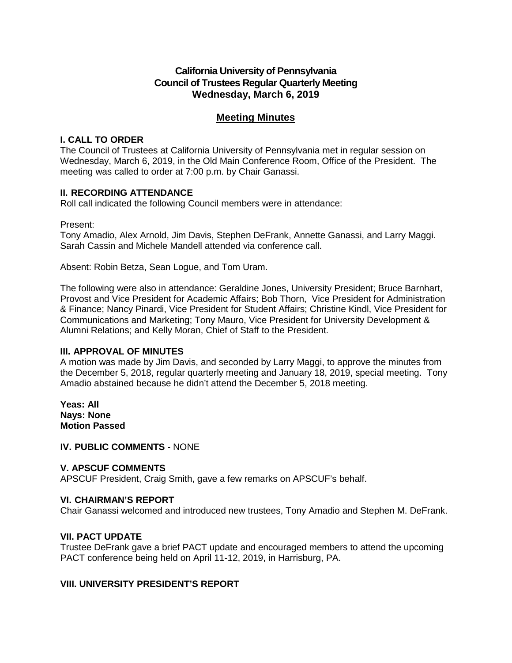# **California University of Pennsylvania Council of Trustees Regular Quarterly Meeting Wednesday, March 6, 2019**

# **Meeting Minutes**

## **I. CALL TO ORDER**

The Council of Trustees at California University of Pennsylvania met in regular session on Wednesday, March 6, 2019, in the Old Main Conference Room, Office of the President. The meeting was called to order at 7:00 p.m. by Chair Ganassi.

#### **II. RECORDING ATTENDANCE**

Roll call indicated the following Council members were in attendance:

Present:

Tony Amadio, Alex Arnold, Jim Davis, Stephen DeFrank, Annette Ganassi, and Larry Maggi. Sarah Cassin and Michele Mandell attended via conference call.

Absent: Robin Betza, Sean Logue, and Tom Uram.

The following were also in attendance: Geraldine Jones, University President; Bruce Barnhart, Provost and Vice President for Academic Affairs; Bob Thorn, Vice President for Administration & Finance; Nancy Pinardi, Vice President for Student Affairs; Christine Kindl, Vice President for Communications and Marketing; Tony Mauro, Vice President for University Development & Alumni Relations; and Kelly Moran, Chief of Staff to the President.

#### **III. APPROVAL OF MINUTES**

A motion was made by Jim Davis, and seconded by Larry Maggi, to approve the minutes from the December 5, 2018, regular quarterly meeting and January 18, 2019, special meeting. Tony Amadio abstained because he didn't attend the December 5, 2018 meeting.

**Yeas: All Nays: None Motion Passed**

**IV. PUBLIC COMMENTS -** NONE

## **V. APSCUF COMMENTS**

APSCUF President, Craig Smith, gave a few remarks on APSCUF's behalf.

## **VI. CHAIRMAN'S REPORT**

Chair Ganassi welcomed and introduced new trustees, Tony Amadio and Stephen M. DeFrank.

## **VII. PACT UPDATE**

Trustee DeFrank gave a brief PACT update and encouraged members to attend the upcoming PACT conference being held on April 11-12, 2019, in Harrisburg, PA.

## **VIII. UNIVERSITY PRESIDENT'S REPORT**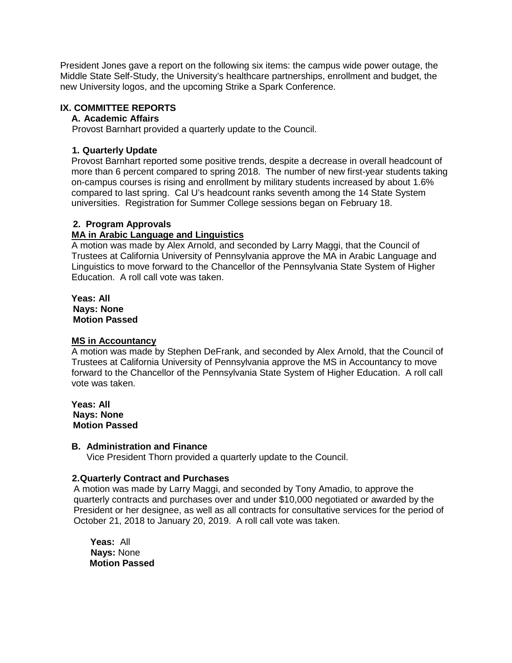President Jones gave a report on the following six items: the campus wide power outage, the Middle State Self-Study, the University's healthcare partnerships, enrollment and budget, the new University logos, and the upcoming Strike a Spark Conference.

## **IX. COMMITTEE REPORTS**

#### **A. Academic Affairs**

Provost Barnhart provided a quarterly update to the Council.

## **1. Quarterly Update**

Provost Barnhart reported some positive trends, despite a decrease in overall headcount of more than 6 percent compared to spring 2018. The number of new first-year students taking on-campus courses is rising and enrollment by military students increased by about 1.6% compared to last spring. Cal U's headcount ranks seventh among the 14 State System universities. Registration for Summer College sessions began on February 18.

## **2. Program Approvals**

## **MA in Arabic Language and Linguistics**

A motion was made by Alex Arnold, and seconded by Larry Maggi, that the Council of Trustees at California University of Pennsylvania approve the MA in Arabic Language and Linguistics to move forward to the Chancellor of the Pennsylvania State System of Higher Education. A roll call vote was taken.

**Yeas: All Nays: None Motion Passed**

## **MS in Accountancy**

A motion was made by Stephen DeFrank, and seconded by Alex Arnold, that the Council of Trustees at California University of Pennsylvania approve the MS in Accountancy to move forward to the Chancellor of the Pennsylvania State System of Higher Education. A roll call vote was taken.

**Yeas: All Nays: None Motion Passed**

## **B. Administration and Finance**

Vice President Thorn provided a quarterly update to the Council.

## **2.Quarterly Contract and Purchases**

A motion was made by Larry Maggi, and seconded by Tony Amadio, to approve the quarterly contracts and purchases over and under \$10,000 negotiated or awarded by the President or her designee, as well as all contracts for consultative services for the period of October 21, 2018 to January 20, 2019. A roll call vote was taken.

**Yeas:** All  **Nays:** None  **Motion Passed**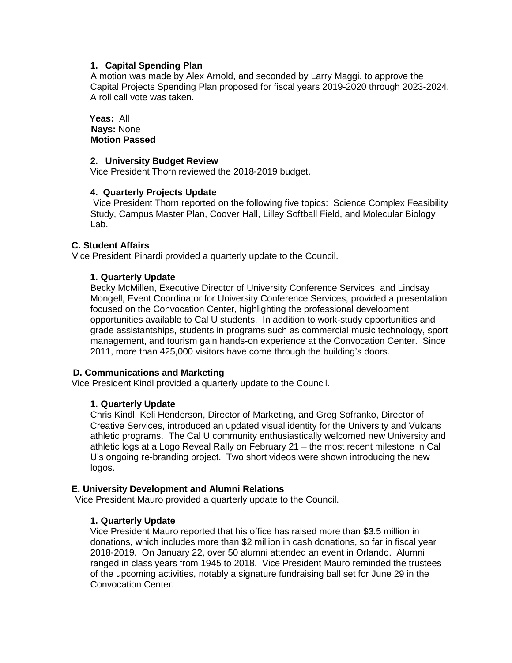#### **1. Capital Spending Plan**

 A motion was made by Alex Arnold, and seconded by Larry Maggi, to approve the Capital Projects Spending Plan proposed for fiscal years 2019-2020 through 2023-2024. A roll call vote was taken.

#### **Yeas:** All  **Nays:** None  **Motion Passed**

#### **2. University Budget Review**

Vice President Thorn reviewed the 2018-2019 budget.

#### **4. Quarterly Projects Update**

Vice President Thorn reported on the following five topics: Science Complex Feasibility Study, Campus Master Plan, Coover Hall, Lilley Softball Field, and Molecular Biology Lab.

#### **C. Student Affairs**

Vice President Pinardi provided a quarterly update to the Council.

#### **1. Quarterly Update**

Becky McMillen, Executive Director of University Conference Services, and Lindsay Mongell, Event Coordinator for University Conference Services, provided a presentation focused on the Convocation Center, highlighting the professional development opportunities available to Cal U students. In addition to work-study opportunities and grade assistantships, students in programs such as commercial music technology, sport management, and tourism gain hands-on experience at the Convocation Center. Since 2011, more than 425,000 visitors have come through the building's doors.

#### **D. Communications and Marketing**

Vice President Kindl provided a quarterly update to the Council.

## **1. Quarterly Update**

Chris Kindl, Keli Henderson, Director of Marketing, and Greg Sofranko, Director of Creative Services, introduced an updated visual identity for the University and Vulcans athletic programs. The Cal U community enthusiastically welcomed new University and athletic logs at a Logo Reveal Rally on February 21 – the most recent milestone in Cal U's ongoing re-branding project. Two short videos were shown introducing the new logos.

## **E. University Development and Alumni Relations**

Vice President Mauro provided a quarterly update to the Council.

## **1. Quarterly Update**

Vice President Mauro reported that his office has raised more than \$3.5 million in donations, which includes more than \$2 million in cash donations, so far in fiscal year 2018-2019. On January 22, over 50 alumni attended an event in Orlando. Alumni ranged in class years from 1945 to 2018. Vice President Mauro reminded the trustees of the upcoming activities, notably a signature fundraising ball set for June 29 in the Convocation Center.